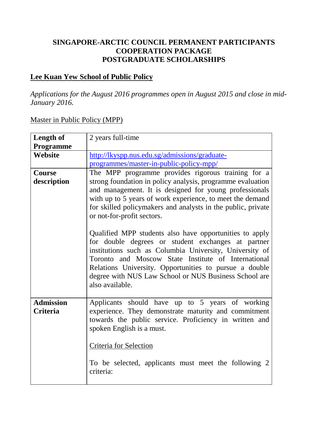### **SINGAPORE-ARCTIC COUNCIL PERMANENT PARTICIPANTS COOPERATION PACKAGE POSTGRADUATE SCHOLARSHIPS**

### **Lee Kuan Yew School of Public Policy**

*Applications for the August 2016 programmes open in August 2015 and close in mid-January 2016.*

#### Master in Public Policy (MPP)

| Length of        | 2 years full-time                                            |
|------------------|--------------------------------------------------------------|
| Programme        |                                                              |
| Website          | http://lkyspp.nus.edu.sg/admissions/graduate-                |
|                  | programmes/master-in-public-policy-mpp/                      |
| <b>Course</b>    | The MPP programme provides rigorous training for a           |
| description      | strong foundation in policy analysis, programme evaluation   |
|                  | and management. It is designed for young professionals       |
|                  | with up to 5 years of work experience, to meet the demand    |
|                  | for skilled policymakers and analysts in the public, private |
|                  | or not-for-profit sectors.                                   |
|                  |                                                              |
|                  | Qualified MPP students also have opportunities to apply      |
|                  | for double degrees or student exchanges at partner           |
|                  | institutions such as Columbia University, University of      |
|                  | Toronto and Moscow State Institute of International          |
|                  | Relations University. Opportunities to pursue a double       |
|                  | degree with NUS Law School or NUS Business School are        |
|                  | also available.                                              |
|                  |                                                              |
|                  |                                                              |
| <b>Admission</b> | Applicants should have up to 5 years of working              |
| <b>Criteria</b>  | experience. They demonstrate maturity and commitment         |
|                  | towards the public service. Proficiency in written and       |
|                  | spoken English is a must.                                    |
|                  |                                                              |
|                  | Criteria for Selection                                       |
|                  |                                                              |
|                  | To be selected, applicants must meet the following 2         |
|                  | criteria:                                                    |
|                  |                                                              |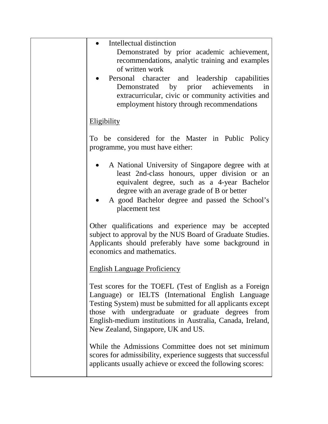| Intellectual distinction<br>Demonstrated by prior academic achievement,<br>recommendations, analytic training and examples<br>of written work<br>• Personal character and leadership capabilities<br>Demonstrated by prior achievements<br>in<br>extracurricular, civic or community activities and<br>employment history through recommendations |
|---------------------------------------------------------------------------------------------------------------------------------------------------------------------------------------------------------------------------------------------------------------------------------------------------------------------------------------------------|
| <b>Eligibility</b>                                                                                                                                                                                                                                                                                                                                |
| To be considered for the Master in Public Policy<br>programme, you must have either:                                                                                                                                                                                                                                                              |
| A National University of Singapore degree with at<br>least 2nd-class honours, upper division or an<br>equivalent degree, such as a 4-year Bachelor<br>degree with an average grade of B or better<br>A good Bachelor degree and passed the School's<br>placement test                                                                             |
| Other qualifications and experience may be accepted<br>subject to approval by the NUS Board of Graduate Studies.<br>Applicants should preferably have some background in<br>economics and mathematics.                                                                                                                                            |
| <b>English Language Proficiency</b>                                                                                                                                                                                                                                                                                                               |
| Test scores for the TOEFL (Test of English as a Foreign<br>Language) or IELTS (International English Language<br>Testing System) must be submitted for all applicants except<br>those with undergraduate or graduate degrees from<br>English-medium institutions in Australia, Canada, Ireland,<br>New Zealand, Singapore, UK and US.             |
| While the Admissions Committee does not set minimum<br>scores for admissibility, experience suggests that successful<br>applicants usually achieve or exceed the following scores:                                                                                                                                                                |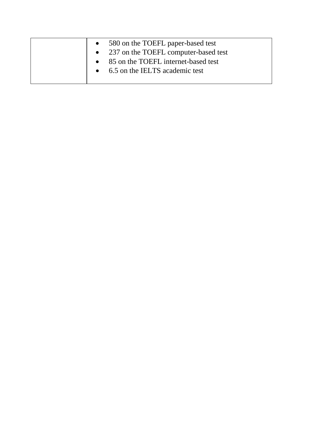|  | • 580 on the TOEFL paper-based test    |
|--|----------------------------------------|
|  | • 237 on the TOEFL computer-based test |
|  | • 85 on the TOEFL internet-based test  |
|  | • 6.5 on the IELTS academic test       |
|  |                                        |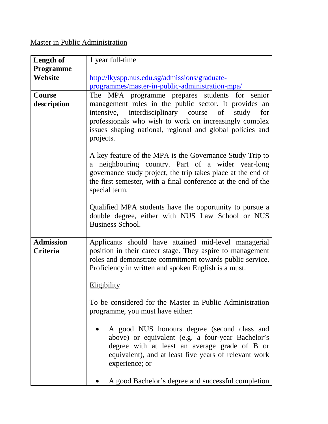# Master in Public Administration

| <b>Length of</b>             | 1 year full-time                                                                                                                                                                                                                                                |
|------------------------------|-----------------------------------------------------------------------------------------------------------------------------------------------------------------------------------------------------------------------------------------------------------------|
| <b>Programme</b>             |                                                                                                                                                                                                                                                                 |
| Website                      | http://lkyspp.nus.edu.sg/admissions/graduate-                                                                                                                                                                                                                   |
|                              | programmes/master-in-public-administration-mpa/                                                                                                                                                                                                                 |
| <b>Course</b>                | The MPA programme prepares students for senior                                                                                                                                                                                                                  |
| description                  | management roles in the public sector. It provides an<br>intensive, interdisciplinary course of<br>study<br>for<br>professionals who wish to work on increasingly complex<br>issues shaping national, regional and global policies and<br>projects.             |
|                              | A key feature of the MPA is the Governance Study Trip to<br>a neighbouring country. Part of a wider year-long<br>governance study project, the trip takes place at the end of<br>the first semester, with a final conference at the end of the<br>special term. |
|                              | Qualified MPA students have the opportunity to pursue a<br>double degree, either with NUS Law School or NUS<br><b>Business School.</b>                                                                                                                          |
| <b>Admission</b><br>Criteria | Applicants should have attained mid-level managerial<br>position in their career stage. They aspire to management<br>roles and demonstrate commitment towards public service.<br>Proficiency in written and spoken English is a must.<br><b>Eligibility</b>     |
|                              | To be considered for the Master in Public Administration<br>programme, you must have either:                                                                                                                                                                    |
|                              | A good NUS honours degree (second class and<br>above) or equivalent (e.g. a four-year Bachelor's<br>degree with at least an average grade of B or<br>equivalent), and at least five years of relevant work<br>experience; or                                    |
|                              | A good Bachelor's degree and successful completion                                                                                                                                                                                                              |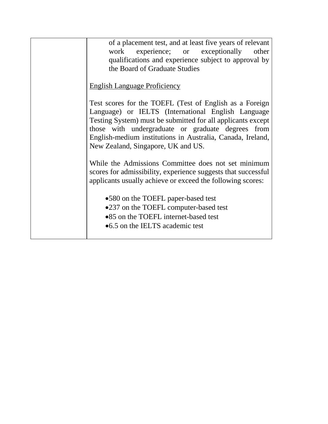| of a placement test, and at least five years of relevant<br>work experience; or exceptionally<br>other<br>qualifications and experience subject to approval by<br>the Board of Graduate Studies                                                                                                                                       |
|---------------------------------------------------------------------------------------------------------------------------------------------------------------------------------------------------------------------------------------------------------------------------------------------------------------------------------------|
| <b>English Language Proficiency</b>                                                                                                                                                                                                                                                                                                   |
| Test scores for the TOEFL (Test of English as a Foreign<br>Language) or IELTS (International English Language<br>Testing System) must be submitted for all applicants except<br>those with undergraduate or graduate degrees from<br>English-medium institutions in Australia, Canada, Ireland,<br>New Zealand, Singapore, UK and US. |
| While the Admissions Committee does not set minimum<br>scores for admissibility, experience suggests that successful<br>applicants usually achieve or exceed the following scores:                                                                                                                                                    |
| •580 on the TOEFL paper-based test<br>•237 on the TOEFL computer-based test<br>•85 on the TOEFL internet-based test<br>•6.5 on the IELTS academic test                                                                                                                                                                                |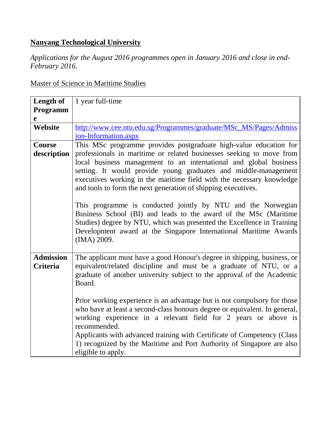## **Nanyang Technological University**

*Applications for the August 2016 programmes open in January 2016 and close in end-February 2016.*

Master of Science in Maritime Studies

| Length of        | 1 year full-time                                                                                                                           |
|------------------|--------------------------------------------------------------------------------------------------------------------------------------------|
| Programm         |                                                                                                                                            |
| $\mathbf e$      |                                                                                                                                            |
| Website          | http://www.cee.ntu.edu.sg/Programmes/graduate/MSc_MS/Pages/Admiss                                                                          |
|                  | ion-Information.aspx                                                                                                                       |
| Course           | This MSc programme provides postgraduate high-value education for                                                                          |
| description      | professionals in maritime or related businesses seeking to move from                                                                       |
|                  | local business management to an international and global business                                                                          |
|                  | setting. It would provide young graduates and middle-management                                                                            |
|                  | executives working in the maritime field with the necessary knowledge                                                                      |
|                  | and tools to form the next generation of shipping executives.                                                                              |
|                  |                                                                                                                                            |
|                  | This programme is conducted jointly by NTU and the Norwegian                                                                               |
|                  | Business School (BI) and leads to the award of the MSc (Maritime<br>Studies) degree by NTU, which was presented the Excellence in Training |
|                  | Development award at the Singapore International Maritime Awards                                                                           |
|                  | (IMA) 2009.                                                                                                                                |
|                  |                                                                                                                                            |
| <b>Admission</b> | The applicant must have a good Honour's degree in shipping, business, or                                                                   |
| <b>Criteria</b>  | equivalent/related discipline and must be a graduate of NTU, or a                                                                          |
|                  | graduate of another university subject to the approval of the Academic                                                                     |
|                  | Board.                                                                                                                                     |
|                  |                                                                                                                                            |
|                  | Prior working experience is an advantage but is not compulsory for those                                                                   |
|                  | who have at least a second-class honours degree or equivalent. In general,                                                                 |
|                  | working experience in a relevant field for 2 years or above is                                                                             |
|                  | recommended.                                                                                                                               |
|                  | Applicants with advanced training with Certificate of Competency (Class                                                                    |
|                  | 1) recognized by the Maritime and Port Authority of Singapore are also                                                                     |
|                  | eligible to apply.                                                                                                                         |